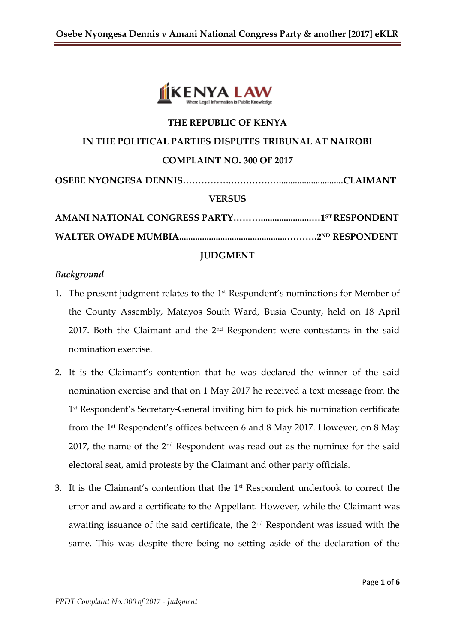

### **THE REPUBLIC OF KENYA**

#### **IN THE POLITICAL PARTIES DISPUTES TRIBUNAL AT NAIROBI**

#### **COMPLAINT NO. 300 OF 2017**

| <b>VERSUS</b> |  |
|---------------|--|
|               |  |
|               |  |

#### **JUDGMENT**

### *Background*

- 1. The present judgment relates to the  $1<sup>st</sup>$  Respondent's nominations for Member of the County Assembly, Matayos South Ward, Busia County, held on 18 April 2017. Both the Claimant and the  $2<sup>nd</sup>$  Respondent were contestants in the said nomination exercise.
- 2. It is the Claimant's contention that he was declared the winner of the said nomination exercise and that on 1 May 2017 he received a text message from the 1 st Respondent's Secretary-General inviting him to pick his nomination certificate from the 1st Respondent's offices between 6 and 8 May 2017. However, on 8 May 2017, the name of the  $2<sup>nd</sup>$  Respondent was read out as the nominee for the said electoral seat, amid protests by the Claimant and other party officials.
- 3. It is the Claimant's contention that the  $1<sup>st</sup>$  Respondent undertook to correct the error and award a certificate to the Appellant. However, while the Claimant was awaiting issuance of the said certificate, the  $2<sup>nd</sup>$  Respondent was issued with the same. This was despite there being no setting aside of the declaration of the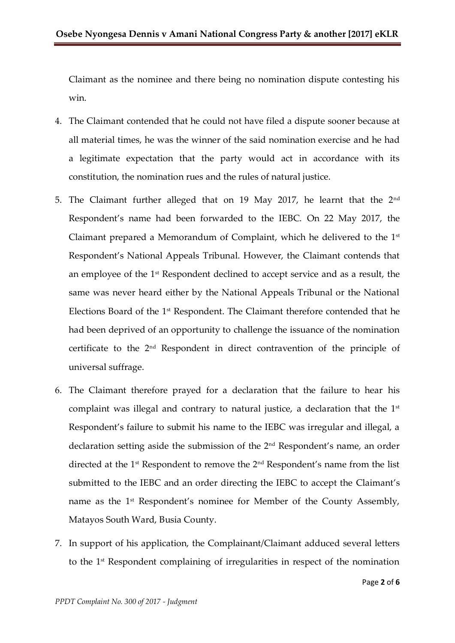Claimant as the nominee and there being no nomination dispute contesting his win.

- 4. The Claimant contended that he could not have filed a dispute sooner because at all material times, he was the winner of the said nomination exercise and he had a legitimate expectation that the party would act in accordance with its constitution, the nomination rues and the rules of natural justice.
- 5. The Claimant further alleged that on 19 May 2017, he learnt that the 2<sup>nd</sup> Respondent's name had been forwarded to the IEBC. On 22 May 2017, the Claimant prepared a Memorandum of Complaint, which he delivered to the 1st Respondent's National Appeals Tribunal. However, the Claimant contends that an employee of the 1st Respondent declined to accept service and as a result, the same was never heard either by the National Appeals Tribunal or the National Elections Board of the 1st Respondent. The Claimant therefore contended that he had been deprived of an opportunity to challenge the issuance of the nomination certificate to the 2nd Respondent in direct contravention of the principle of universal suffrage.
- 6. The Claimant therefore prayed for a declaration that the failure to hear his complaint was illegal and contrary to natural justice, a declaration that the  $1<sup>st</sup>$ Respondent's failure to submit his name to the IEBC was irregular and illegal, a declaration setting aside the submission of the 2nd Respondent's name, an order directed at the 1st Respondent to remove the 2nd Respondent's name from the list submitted to the IEBC and an order directing the IEBC to accept the Claimant's name as the 1<sup>st</sup> Respondent's nominee for Member of the County Assembly, Matayos South Ward, Busia County.
- 7. In support of his application, the Complainant/Claimant adduced several letters to the 1st Respondent complaining of irregularities in respect of the nomination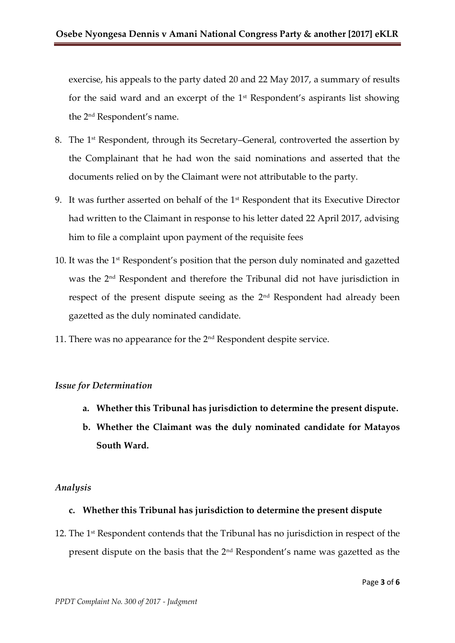exercise, his appeals to the party dated 20 and 22 May 2017, a summary of results for the said ward and an excerpt of the 1st Respondent's aspirants list showing the 2nd Respondent's name.

- 8. The 1<sup>st</sup> Respondent, through its Secretary–General, controverted the assertion by the Complainant that he had won the said nominations and asserted that the documents relied on by the Claimant were not attributable to the party.
- 9. It was further asserted on behalf of the 1<sup>st</sup> Respondent that its Executive Director had written to the Claimant in response to his letter dated 22 April 2017, advising him to file a complaint upon payment of the requisite fees
- 10. It was the 1<sup>st</sup> Respondent's position that the person duly nominated and gazetted was the 2nd Respondent and therefore the Tribunal did not have jurisdiction in respect of the present dispute seeing as the 2nd Respondent had already been gazetted as the duly nominated candidate.
- 11. There was no appearance for the 2<sup>nd</sup> Respondent despite service.

### *Issue for Determination*

- **a. Whether this Tribunal has jurisdiction to determine the present dispute.**
- **b. Whether the Claimant was the duly nominated candidate for Matayos South Ward.**

### *Analysis*

### **c. Whether this Tribunal has jurisdiction to determine the present dispute**

12. The 1<sup>st</sup> Respondent contends that the Tribunal has no jurisdiction in respect of the present dispute on the basis that the 2nd Respondent's name was gazetted as the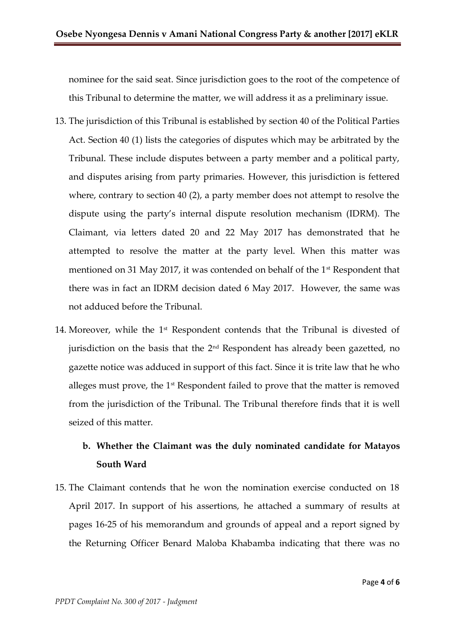nominee for the said seat. Since jurisdiction goes to the root of the competence of this Tribunal to determine the matter, we will address it as a preliminary issue.

- 13. The jurisdiction of this Tribunal is established by section 40 of the Political Parties Act. Section 40 (1) lists the categories of disputes which may be arbitrated by the Tribunal. These include disputes between a party member and a political party, and disputes arising from party primaries. However, this jurisdiction is fettered where, contrary to section 40 (2), a party member does not attempt to resolve the dispute using the party's internal dispute resolution mechanism (IDRM). The Claimant, via letters dated 20 and 22 May 2017 has demonstrated that he attempted to resolve the matter at the party level. When this matter was mentioned on 31 May 2017, it was contended on behalf of the 1st Respondent that there was in fact an IDRM decision dated 6 May 2017. However, the same was not adduced before the Tribunal.
- 14. Moreover, while the  $1<sup>st</sup>$  Respondent contends that the Tribunal is divested of jurisdiction on the basis that the  $2<sup>nd</sup>$  Respondent has already been gazetted, no gazette notice was adduced in support of this fact. Since it is trite law that he who alleges must prove, the 1<sup>st</sup> Respondent failed to prove that the matter is removed from the jurisdiction of the Tribunal. The Tribunal therefore finds that it is well seized of this matter.

# **b. Whether the Claimant was the duly nominated candidate for Matayos South Ward**

15. The Claimant contends that he won the nomination exercise conducted on 18 April 2017. In support of his assertions, he attached a summary of results at pages 16-25 of his memorandum and grounds of appeal and a report signed by the Returning Officer Benard Maloba Khabamba indicating that there was no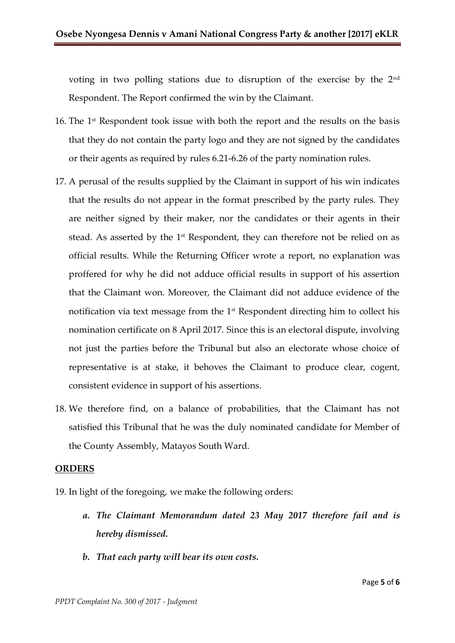voting in two polling stations due to disruption of the exercise by the 2nd Respondent. The Report confirmed the win by the Claimant.

- 16. The  $1<sup>st</sup>$  Respondent took issue with both the report and the results on the basis that they do not contain the party logo and they are not signed by the candidates or their agents as required by rules 6.21-6.26 of the party nomination rules.
- 17. A perusal of the results supplied by the Claimant in support of his win indicates that the results do not appear in the format prescribed by the party rules. They are neither signed by their maker, nor the candidates or their agents in their stead. As asserted by the  $1<sup>st</sup>$  Respondent, they can therefore not be relied on as official results. While the Returning Officer wrote a report, no explanation was proffered for why he did not adduce official results in support of his assertion that the Claimant won. Moreover, the Claimant did not adduce evidence of the notification via text message from the 1st Respondent directing him to collect his nomination certificate on 8 April 2017. Since this is an electoral dispute, involving not just the parties before the Tribunal but also an electorate whose choice of representative is at stake, it behoves the Claimant to produce clear, cogent, consistent evidence in support of his assertions.
- 18. We therefore find, on a balance of probabilities, that the Claimant has not satisfied this Tribunal that he was the duly nominated candidate for Member of the County Assembly, Matayos South Ward.

#### **ORDERS**

19. In light of the foregoing, we make the following orders:

- *a. The Claimant Memorandum dated 23 May 2017 therefore fail and is hereby dismissed.*
- *b. That each party will bear its own costs.*